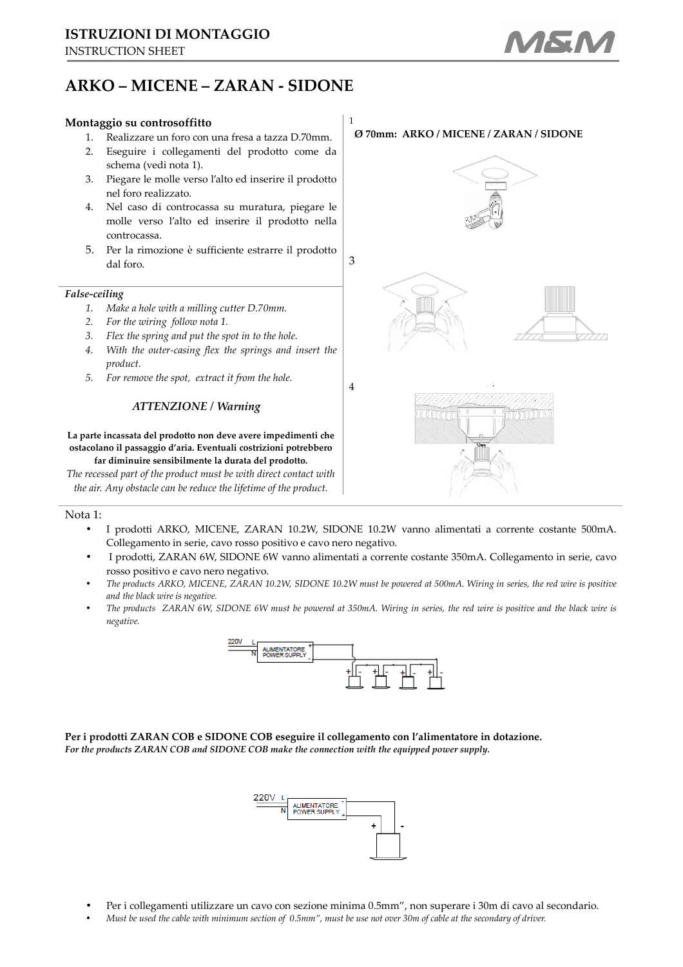# **ARKO – MICENE – ZARAN - SIDONE**

# **Montaggio su controsoffitto**

- 1. Realizzare un foro con una fresa a tazza D.70mm.
- 2. Eseguire i collegamenti del prodotto come da schema (vedi nota 1).
- 3. Piegare le molle verso l'alto ed inserire il prodotto nel foro realizzato.
- 4. Nel caso di controcassa su muratura, piegare le molle verso l'alto ed inserire il prodotto nella controcassa.
- 5. Per la rimozione è sufficiente estrarre il prodotto dal foro.

## *False-ceiling*

- *1. Make a hole with a milling cutter D.70mm.*
- *2. For the wiring follow nota 1.*
- *3. Flex the spring and put the spot in to the hole.*
- *4. With the outer-casing flex the springs and insert the product.*
- *5. For remove the spot, extract it from the hole.*

## *ATTENZIONE / Warning*

#### **La parte incassata del prodotto non deve avere impedimenti che ostacolano il passaggio d'aria. Eventuali costrizioni potrebbero far diminuire sensibilmente la durata del prodotto.**

*The recessed part of the product must be with direct contact with the air. Any obstacle can be reduce the lifetime of the product.* 

### Nota 1:

• I prodotti ARKO, MICENE, ZARAN 10.2W, SIDONE 10.2W vanno alimentati a corrente costante 500mA. Collegamento in serie, cavo rosso positivo e cavo nero negativo.

1

- I prodotti, ZARAN 6W, SIDONE 6W vanno alimentati a corrente costante 350mA. Collegamento in serie, cavo rosso positivo e cavo nero negativo.
- *The products ARKO, MICENE, ZARAN 10.2W, SIDONE 10.2W must be powered at 500mA. Wiring in series, the red wire is positive and the black wire is negative.*
- *The products ZARAN 6W, SIDONE 6W must be powered at 350mA. Wiring in series, the red wire is positive and the black wire is negative.*



**Per i prodotti ZARAN COB e SIDONE COB eseguire il collegamento con l'alimentatore in dotazione.**  *For the products ZARAN COB and SIDONE COB make the connection with the equipped power supply.* 



- Per i collegamenti utilizzare un cavo con sezione minima 0.5mm", non superare i 30m di cavo al secondario.
- *Must be used the cable with minimum section of 0.5mm", must be use not over 30m of cable at the secondary of driver.*